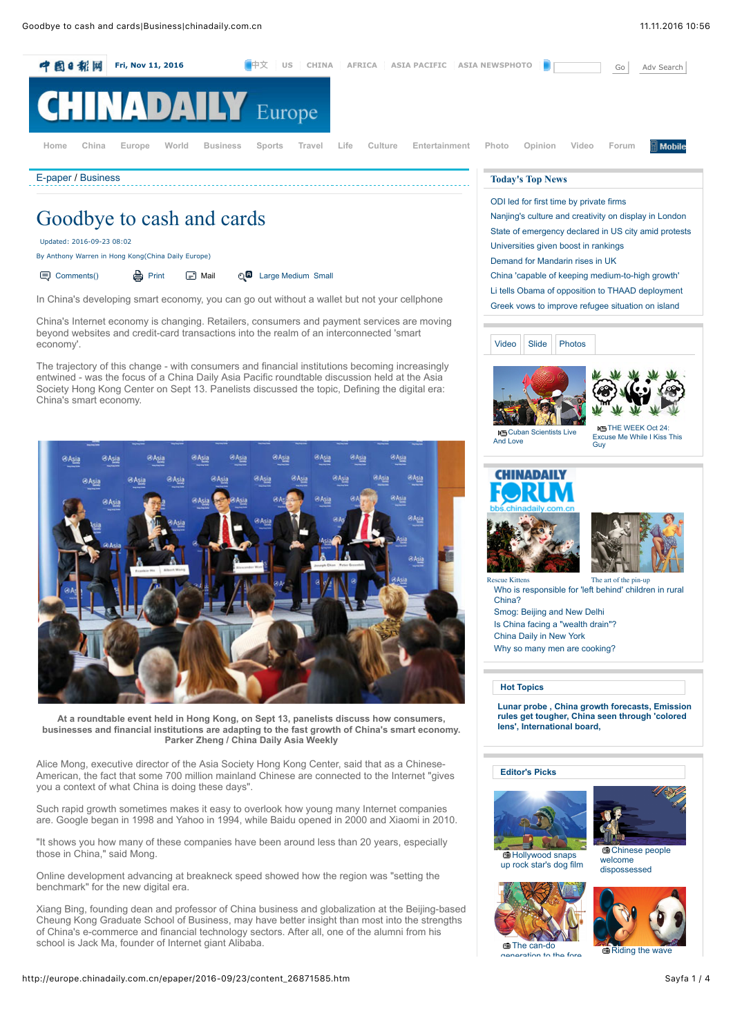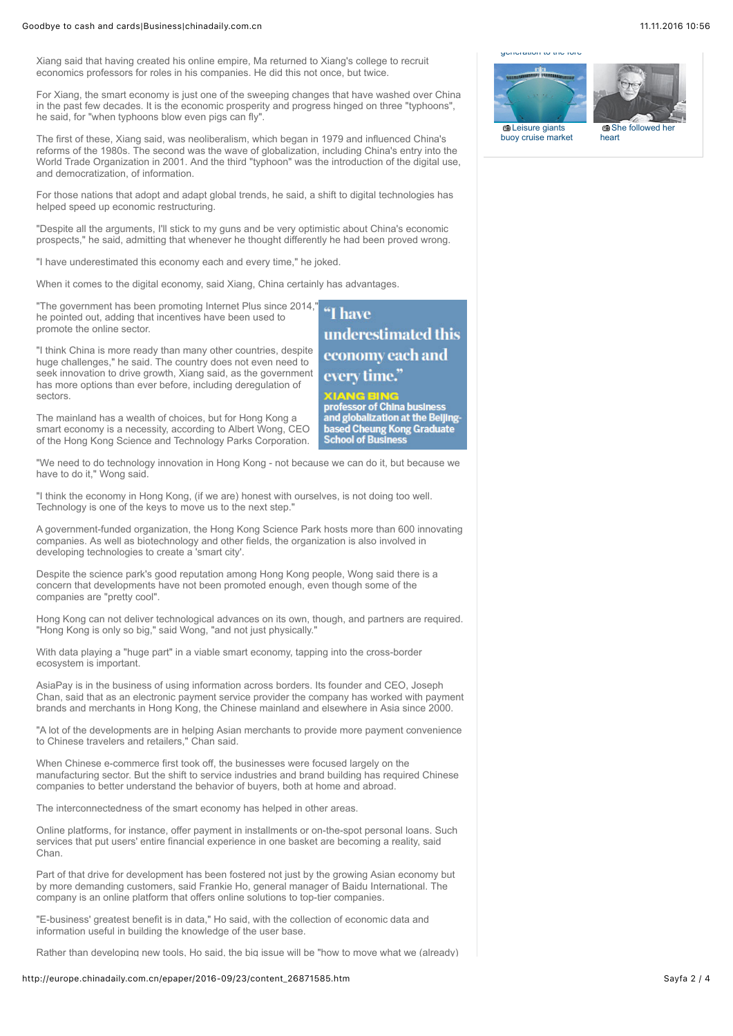## Goodbye to cash and cards|Business|chinadaily.com.cn 11.11.2006 10:56

Xiang said that having created his online empire, Ma returned to Xiang's college to recruit economics professors for roles in his companies. He did this not once, but twice.

For Xiang, the smart economy is just one of the sweeping changes that have washed over China in the past few decades. It is the economic prosperity and progress hinged on three "typhoons", he said, for "when typhoons blow even pigs can fly".

The first of these, Xiang said, was neoliberalism, which began in 1979 and influenced China's reforms of the 1980s. The second was the wave of globalization, including China's entry into the World Trade Organization in 2001. And the third "typhoon" was the introduction of the digital use, and democratization, of information.

For those nations that adopt and adapt global trends, he said, a shift to digital technologies has helped speed up economic restructuring.

"Despite all the arguments, I'll stick to my guns and be very optimistic about China's economic prospects," he said, admitting that whenever he thought differently he had been proved wrong.

"I have underestimated this economy each and every time," he joked.

When it comes to the digital economy, said Xiang, China certainly has advantages.

"The government has been promoting Internet Plus since 2014, he pointed out, adding that incentives have been used to promote the online sector.

"I think China is more ready than many other countries, despite huge challenges," he said. The country does not even need to seek innovation to drive growth, Xiang said, as the government has more options than ever before, including deregulation of sectors.

The mainland has a wealth of choices, but for Hong Kong a smart economy is a necessity, according to Albert Wong, CEO of the Hong Kong Science and Technology Parks Corporation.

"We need to do technology innovation in Hong Kong - not because we can do it, but because we have to do it," Wong said.

"I think the economy in Hong Kong, (if we are) honest with ourselves, is not doing too well. Technology is one of the keys to move us to the next step."

A government-funded organization, the Hong Kong Science Park hosts more than 600 innovating companies. As well as biotechnology and other fields, the organization is also involved in developing technologies to create a 'smart city'.

Despite the science park's good reputation among Hong Kong people, Wong said there is a concern that developments have not been promoted enough, even though some of the companies are "pretty cool".

Hong Kong can not deliver technological advances on its own, though, and partners are required. "Hong Kong is only so big," said Wong, "and not just physically."

With data playing a "huge part" in a viable smart economy, tapping into the cross-border ecosystem is important.

AsiaPay is in the business of using information across borders. Its founder and CEO, Joseph Chan, said that as an electronic payment service provider the company has worked with payment brands and merchants in Hong Kong, the Chinese mainland and elsewhere in Asia since 2000.

"A lot of the developments are in helping Asian merchants to provide more payment convenience to Chinese travelers and retailers," Chan said.

When Chinese e-commerce first took off, the businesses were focused largely on the manufacturing sector. But the shift to service industries and brand building has required Chinese companies to better understand the behavior of buyers, both at home and abroad.

The interconnectedness of the smart economy has helped in other areas.

Online platforms, for instance, offer payment in installments or on-the-spot personal loans. Such services that put users' entire financial experience in one basket are becoming a reality, said Chan.

Part of that drive for development has been fostered not just by the growing Asian economy but by more demanding customers, said Frankie Ho, general manager of Baidu International. The company is an online platform that offers online solutions to top-tier companies.

"E-business' greatest benefit is in data," Ho said, with the collection of economic data and information useful in building the knowledge of the user base.

Rather than developing new tools. Ho said, the big issue will be "how to move what we (already)

## http://europe.chinadaily.com.cn/epaper/2016-09/23/content 26871585.htm Sayfa 2 / 4



**XIANG BING**<br>professor of China business<br>and globalization at the Beljing**based Cheung Kong Graduate**<br>School of Business





[buoy cruise market](http://europe.chinadaily.com.cn/business/2016-06/10/content_25667998.htm)

she followed he heart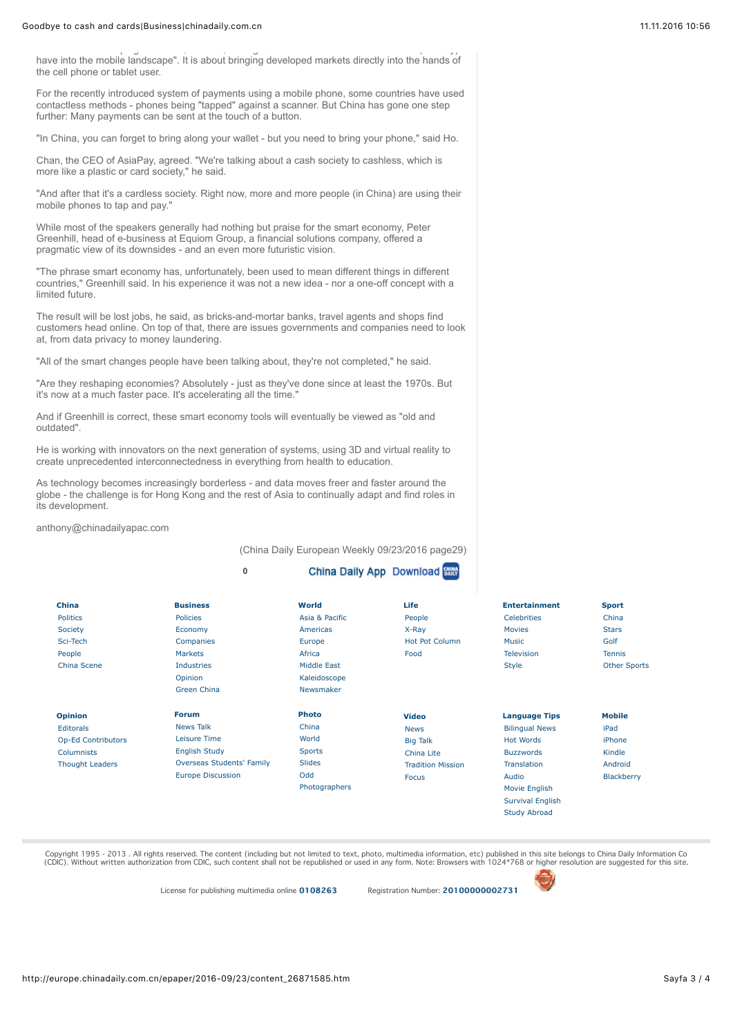## Goodbye to cash and cards|Business|chinadaily.com.cn 11.11.2006 10:56

Rather than developing new tools, Ho said, the big issue will be "how to move what we (already) have into the mobile landscape". It is about bringing developed markets directly into the hands of the cell phone or tablet user.

For the recently introduced system of payments using a mobile phone, some countries have used contactless methods - phones being "tapped" against a scanner. But China has gone one step further: Many payments can be sent at the touch of a button.

"In China, you can forget to bring along your wallet - but you need to bring your phone," said Ho.

Chan, the CEO of AsiaPay, agreed. "We're talking about a cash society to cashless, which is more like a plastic or card society," he said.

"And after that it's a cardless society. Right now, more and more people (in China) are using their mobile phones to tap and pay."

While most of the speakers generally had nothing but praise for the smart economy, Peter Greenhill, head of e-business at Equiom Group, a financial solutions company, offered a pragmatic view of its downsides - and an even more futuristic vision.

"The phrase smart economy has, unfortunately, been used to mean different things in different countries," Greenhill said. In his experience it was not a new idea - nor a one-off concept with a limited future.

The result will be lost jobs, he said, as bricks-and-mortar banks, travel agents and shops find customers head online. On top of that, there are issues governments and companies need to look at, from data privacy to money laundering.

"All of the smart changes people have been talking about, they're not completed," he said.

"Are they reshaping economies? Absolutely - just as they've done since at least the 1970s. But it's now at a much faster pace. It's accelerating all the time."

And if Greenhill is correct, these smart economy tools will eventually be viewed as "old and outdated".

He is working with innovators on the next generation of systems, using 3D and virtual reality to create unprecedented interconnectedness in everything from health to education.

As technology becomes increasingly borderless - and data moves freer and faster around the globe - the challenge is for Hong Kong and the rest of Asia to continually adapt and find roles in its development.

anthony@chinadailyapac.com

(China Daily European Weekly 09/23/2016 page29)  $-$ 

|                           | 0                                |                | <b>China Daily App Download Street</b> |                         |                     |
|---------------------------|----------------------------------|----------------|----------------------------------------|-------------------------|---------------------|
| China                     | <b>Business</b>                  | World          | Life                                   | <b>Entertainment</b>    | <b>Sport</b>        |
| <b>Politics</b>           | <b>Policies</b>                  | Asia & Pacific | People                                 | <b>Celebrities</b>      | China               |
| Society                   | Economy                          | Americas       | X-Ray                                  | <b>Movies</b>           | <b>Stars</b>        |
| Sci-Tech                  | Companies                        | Europe         | <b>Hot Pot Column</b>                  | Music                   | Golf                |
| People                    | <b>Markets</b>                   | Africa         | Food                                   | Television              | <b>Tennis</b>       |
| China Scene               | <b>Industries</b>                | Middle East    |                                        | <b>Style</b>            | <b>Other Sports</b> |
|                           | Opinion                          | Kaleidoscope   |                                        |                         |                     |
|                           | <b>Green China</b>               | Newsmaker      |                                        |                         |                     |
| <b>Opinion</b>            | <b>Forum</b>                     | <b>Photo</b>   | <b>Video</b>                           | <b>Language Tips</b>    | <b>Mobile</b>       |
| <b>Editorals</b>          | <b>News Talk</b>                 | China          | <b>News</b>                            | <b>Bilingual News</b>   | iPad                |
| <b>Op-Ed Contributors</b> | Leisure Time                     | World          | <b>Big Talk</b>                        | <b>Hot Words</b>        | iPhone              |
| <b>Columnists</b>         | <b>English Study</b>             | <b>Sports</b>  | China Lite                             | <b>Buzzwords</b>        | Kindle              |
| <b>Thought Leaders</b>    | <b>Overseas Students' Family</b> | <b>Slides</b>  | <b>Tradition Mission</b>               | <b>Translation</b>      | Android             |
|                           | <b>Europe Discussion</b>         | Odd            | <b>Focus</b>                           | Audio                   | Blackberry          |
|                           |                                  | Photographers  |                                        | Movie English           |                     |
|                           |                                  |                |                                        | <b>Survival English</b> |                     |
|                           |                                  |                |                                        | <b>Study Abroad</b>     |                     |

Copyright 1995 - 2013 . All rights reserved. The content (including but not limited to text, photo, multimedia information, etc) published in this site belongs to China Daily Information Co (CDIC). Without written authorization from CDIC, such content shall not be republished or used in any form. Note: Browsers with 1024\*768 or higher resolution are suggested for this site.

License for publishing multimedia online [0108263](http://www.chinadaily.com.cn/2009image_e/permit2010.jpg) Registration Number: 20100000002731